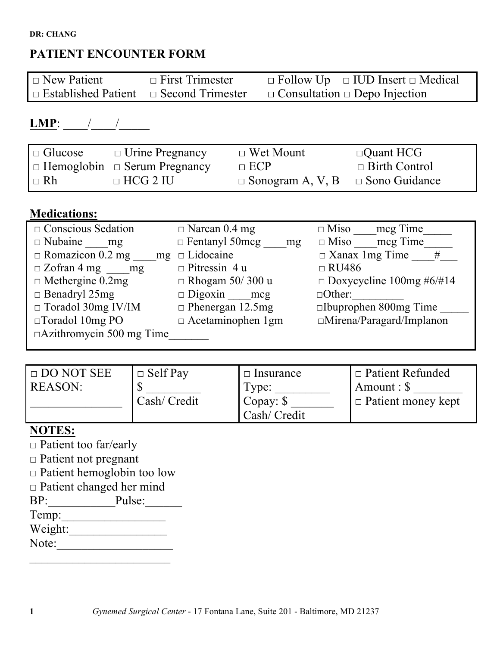# **PATIENT ENCOUNTER FORM**

| $\Box$ New Patient                                 | $\Box$ First Trimester | $\Box$ Follow Up $\Box$ IUD Insert $\Box$ Medical |
|----------------------------------------------------|------------------------|---------------------------------------------------|
| $\Box$ Established Patient $\Box$ Second Trimester |                        | $\Box$ Consultation $\Box$ Depo Injection         |

# **LMP**: \_\_\_\_/\_\_\_\_/\_\_\_\_\_

| $\Box$ Glucose | $\Box$ Urine Pregnancy                   | $\Box$ Wet Mount                             | $\Box$ Quant HCG     |
|----------------|------------------------------------------|----------------------------------------------|----------------------|
|                | $\Box$ Hemoglobin $\Box$ Serum Pregnancy | $\Box$ ECP                                   | $\Box$ Birth Control |
| $I \square$ Rh | $\Box$ HCG 2 IU                          | $\Box$ Sonogram A, V, B $\Box$ Sono Guidance |                      |

# **Medications:**

| $\Box$ Conscious Sedation       | $\Box$ Narcan 0.4 mg     | $\Box$ Miso mcg Time            |
|---------------------------------|--------------------------|---------------------------------|
| $\Box$ Nubaine mg               | $\Box$ Fentanyl 50mcg mg | $\Box$ Miso mcg Time            |
| $\Box$ Romazicon 0.2 mg<br>mg   | $\Box$ Lidocaine         | $\Box$ Xanax 1mg Time<br>#      |
| $\Box$ Zofran 4 mg mg           | $\Box$ Pitressin 4 u     | $\Box$ RU486                    |
| $\Box$ Methergine 0.2mg         | $\Box$ Rhogam 50/300 u   | $\Box$ Doxycycline 100mg #6/#14 |
| $\Box$ Benadryl 25mg            | $\Box$ Digoxin ___ mcg   | $\Box$ Other:                   |
| $\Box$ Toradol 30mg IV/IM       | $\Box$ Phenergan 12.5mg  | $\square$ Ibuprophen 800mg Time |
| $\Box$ Toradol 10mg PO          | $\Box$ Acetaminophen 1gm | $\Box$ Mirena/Paragard/Implanon |
| $\Box$ Azithromycin 500 mg Time |                          |                                 |

| $\Box$ DO NOT SEE | $\Box$ Self Pay | Insurance<br>$\Box$ | $\Box$ Patient Refunded   |
|-------------------|-----------------|---------------------|---------------------------|
| <b>REASON:</b>    |                 | Type:               | $\forall$ Amount : \$     |
|                   | Cash/ Credit    | Copay: $\sqrt{s}$   | $\Box$ Patient money kept |
|                   |                 | Cash/ Credit        |                           |

# **NOTES:**

- □ Patient too far/early
- □ Patient not pregnant
- □ Patient hemoglobin too low
- □ Patient changed her mind
- $BP:$  Pulse: Temp:\_\_\_\_\_\_\_\_\_\_\_\_\_\_\_\_\_
- Weight:

 $\mathcal{L}_\text{max}$  , where  $\mathcal{L}_\text{max}$  and  $\mathcal{L}_\text{max}$ 

Note: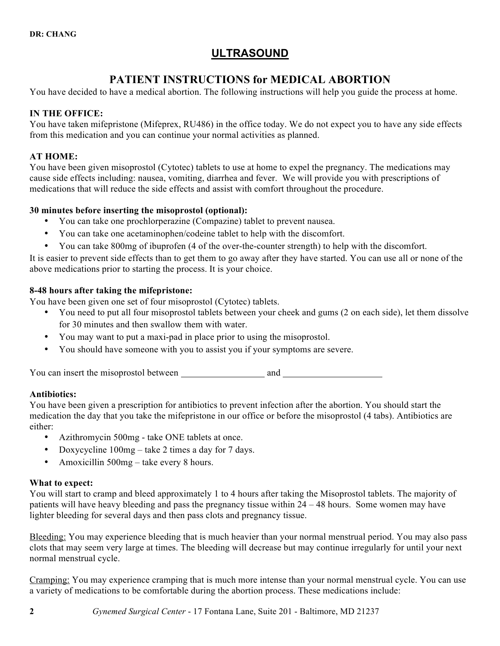# **ULTRASOUND**

# **PATIENT INSTRUCTIONS for MEDICAL ABORTION**

You have decided to have a medical abortion. The following instructions will help you guide the process at home.

# **IN THE OFFICE:**

You have taken mifepristone (Mifeprex, RU486) in the office today. We do not expect you to have any side effects from this medication and you can continue your normal activities as planned.

# **AT HOME:**

You have been given misoprostol (Cytotec) tablets to use at home to expel the pregnancy. The medications may cause side effects including: nausea, vomiting, diarrhea and fever. We will provide you with prescriptions of medications that will reduce the side effects and assist with comfort throughout the procedure.

# **30 minutes before inserting the misoprostol (optional):**

- You can take one prochlorperazine (Compazine) tablet to prevent nausea.
- You can take one acetaminophen/codeine tablet to help with the discomfort.
- You can take 800mg of ibuprofen (4 of the over-the-counter strength) to help with the discomfort.

It is easier to prevent side effects than to get them to go away after they have started. You can use all or none of the above medications prior to starting the process. It is your choice.

# **8-48 hours after taking the mifepristone:**

You have been given one set of four misoprostol (Cytotec) tablets.

- You need to put all four misoprostol tablets between your cheek and gums (2 on each side), let them dissolve for 30 minutes and then swallow them with water.
- You may want to put a maxi-pad in place prior to using the misoprostol.
- You should have someone with you to assist you if your symptoms are severe.

You can insert the misoprostol between and and

# **Antibiotics:**

You have been given a prescription for antibiotics to prevent infection after the abortion. You should start the medication the day that you take the mifepristone in our office or before the misoprostol (4 tabs). Antibiotics are either:

- Azithromycin 500mg take ONE tablets at once.
- Doxycycline 100mg take 2 times a day for 7 days.
- Amoxicillin 500mg take every 8 hours.

# **What to expect:**

You will start to cramp and bleed approximately 1 to 4 hours after taking the Misoprostol tablets. The majority of patients will have heavy bleeding and pass the pregnancy tissue within 24 – 48 hours. Some women may have lighter bleeding for several days and then pass clots and pregnancy tissue.

Bleeding: You may experience bleeding that is much heavier than your normal menstrual period. You may also pass clots that may seem very large at times. The bleeding will decrease but may continue irregularly for until your next normal menstrual cycle.

Cramping: You may experience cramping that is much more intense than your normal menstrual cycle. You can use a variety of medications to be comfortable during the abortion process. These medications include: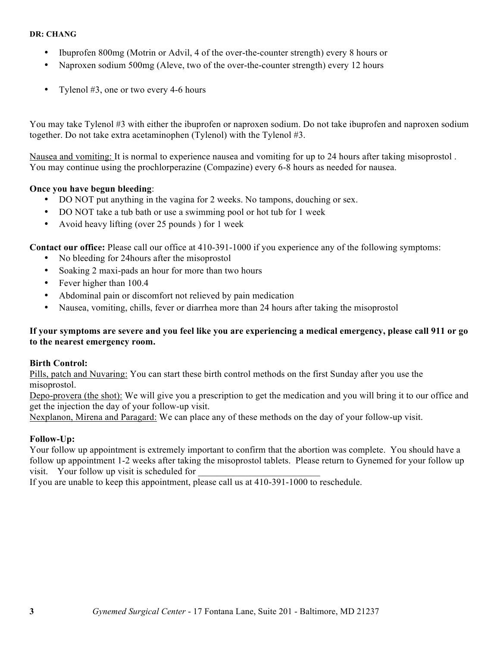- Ibuprofen 800mg (Motrin or Advil, 4 of the over-the-counter strength) every 8 hours or
- Naproxen sodium 500mg (Aleve, two of the over-the-counter strength) every 12 hours
- Tylenol #3, one or two every 4-6 hours

You may take Tylenol #3 with either the ibuprofen or naproxen sodium. Do not take ibuprofen and naproxen sodium together. Do not take extra acetaminophen (Tylenol) with the Tylenol #3.

Nausea and vomiting: It is normal to experience nausea and vomiting for up to 24 hours after taking misoprostol . You may continue using the prochlorperazine (Compazine) every 6-8 hours as needed for nausea.

## **Once you have begun bleeding**:

- DO NOT put anything in the vagina for 2 weeks. No tampons, douching or sex.
- DO NOT take a tub bath or use a swimming pool or hot tub for 1 week
- Avoid heavy lifting (over 25 pounds ) for 1 week

**Contact our office:** Please call our office at 410-391-1000 if you experience any of the following symptoms:

- No bleeding for 24hours after the misoprostol
- Soaking 2 maxi-pads an hour for more than two hours
- Fever higher than 100.4
- Abdominal pain or discomfort not relieved by pain medication
- Nausea, vomiting, chills, fever or diarrhea more than 24 hours after taking the misoprostol

## **If your symptoms are severe and you feel like you are experiencing a medical emergency, please call 911 or go to the nearest emergency room.**

## **Birth Control:**

Pills, patch and Nuvaring: You can start these birth control methods on the first Sunday after you use the misoprostol.

Depo-provera (the shot): We will give you a prescription to get the medication and you will bring it to our office and get the injection the day of your follow-up visit.

Nexplanon, Mirena and Paragard: We can place any of these methods on the day of your follow-up visit.

## **Follow-Up:**

Your follow up appointment is extremely important to confirm that the abortion was complete. You should have a follow up appointment 1-2 weeks after taking the misoprostol tablets. Please return to Gynemed for your follow up visit. Your follow up visit is scheduled for

If you are unable to keep this appointment, please call us at 410-391-1000 to reschedule.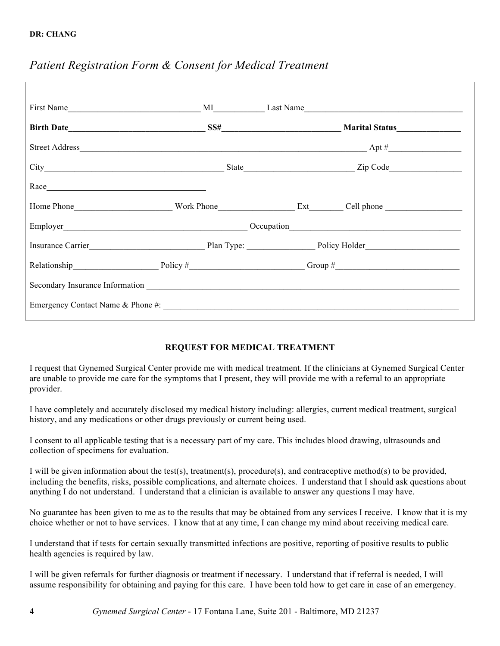| Race Race |                                                                                                                                                                                                                                  |
|-----------|----------------------------------------------------------------------------------------------------------------------------------------------------------------------------------------------------------------------------------|
|           | Home Phone North Discovery North Phone North Discovery 2012 10:30 North Discovery 2012 10:40 North Discovery 2013                                                                                                                |
|           | Employer<br>Cocupation Cocupation Cocupation Cocupation Cocupation Cocupation Cocupation Cocupation Cocupation Cocupation Cocupation Cocupation Cocupation Cocupation Cocupation Cocupation Cocupation Cocupation Cocupation Coc |
|           |                                                                                                                                                                                                                                  |
|           | Relationship Policy # Policy # Group # Group # Group # C                                                                                                                                                                         |
|           |                                                                                                                                                                                                                                  |
|           |                                                                                                                                                                                                                                  |
|           |                                                                                                                                                                                                                                  |

# *Patient Registration Form & Consent for Medical Treatment*

# **REQUEST FOR MEDICAL TREATMENT**

I request that Gynemed Surgical Center provide me with medical treatment. If the clinicians at Gynemed Surgical Center are unable to provide me care for the symptoms that I present, they will provide me with a referral to an appropriate provider.

I have completely and accurately disclosed my medical history including: allergies, current medical treatment, surgical history, and any medications or other drugs previously or current being used.

I consent to all applicable testing that is a necessary part of my care. This includes blood drawing, ultrasounds and collection of specimens for evaluation.

I will be given information about the test(s), treatment(s), procedure(s), and contraceptive method(s) to be provided, including the benefits, risks, possible complications, and alternate choices. I understand that I should ask questions about anything I do not understand. I understand that a clinician is available to answer any questions I may have.

No guarantee has been given to me as to the results that may be obtained from any services I receive. I know that it is my choice whether or not to have services. I know that at any time, I can change my mind about receiving medical care.

I understand that if tests for certain sexually transmitted infections are positive, reporting of positive results to public health agencies is required by law.

I will be given referrals for further diagnosis or treatment if necessary. I understand that if referral is needed, I will assume responsibility for obtaining and paying for this care. I have been told how to get care in case of an emergency.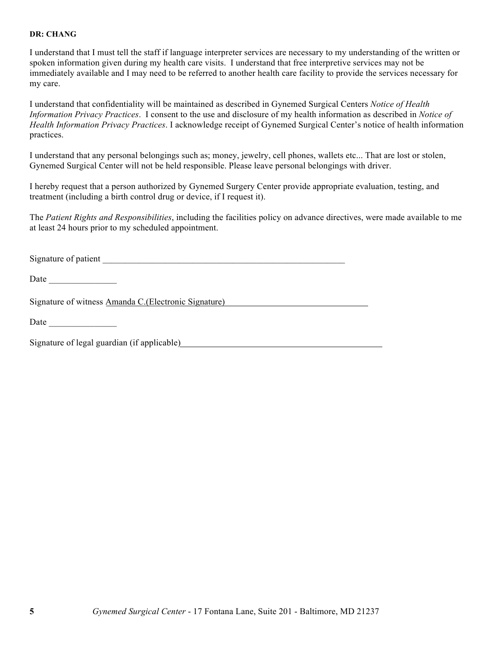I understand that I must tell the staff if language interpreter services are necessary to my understanding of the written or spoken information given during my health care visits. I understand that free interpretive services may not be immediately available and I may need to be referred to another health care facility to provide the services necessary for my care.

I understand that confidentiality will be maintained as described in Gynemed Surgical Centers *Notice of Health Information Privacy Practices*. I consent to the use and disclosure of my health information as described in *Notice of Health Information Privacy Practices*. I acknowledge receipt of Gynemed Surgical Center's notice of health information practices.

I understand that any personal belongings such as; money, jewelry, cell phones, wallets etc... That are lost or stolen, Gynemed Surgical Center will not be held responsible. Please leave personal belongings with driver.

I hereby request that a person authorized by Gynemed Surgery Center provide appropriate evaluation, testing, and treatment (including a birth control drug or device, if I request it).

The *Patient Rights and Responsibilities*, including the facilities policy on advance directives, were made available to me at least 24 hours prior to my scheduled appointment.

Signature of patient \_\_\_\_\_\_\_\_\_\_\_\_\_\_\_\_\_\_\_\_\_\_\_\_\_\_\_\_\_\_\_\_\_\_\_\_\_\_\_\_\_\_\_\_\_\_\_\_\_\_\_\_\_\_

Date  $\Box$ 

Signature of witness Amanda C.(Electronic Signature)

Date  $\Box$ 

Signature of legal guardian (if applicable)<br>
Signature of legal guardian (if applicable)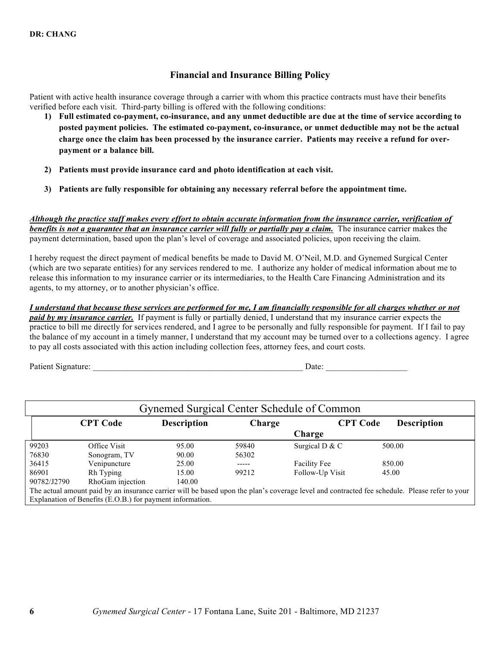# **Financial and Insurance Billing Policy**

Patient with active health insurance coverage through a carrier with whom this practice contracts must have their benefits verified before each visit. Third-party billing is offered with the following conditions:

- **1) Full estimated co-payment, co-insurance, and any unmet deductible are due at the time of service according to posted payment policies. The estimated co-payment, co-insurance, or unmet deductible may not be the actual charge once the claim has been processed by the insurance carrier. Patients may receive a refund for overpayment or a balance bill.**
- **2) Patients must provide insurance card and photo identification at each visit.**
- **3) Patients are fully responsible for obtaining any necessary referral before the appointment time.**

*Although the practice staff makes every effort to obtain accurate information from the insurance carrier, verification of benefits is not a guarantee that an insurance carrier will fully or partially pay a claim.* The insurance carrier makes the payment determination, based upon the plan's level of coverage and associated policies, upon receiving the claim.

I hereby request the direct payment of medical benefits be made to David M. O'Neil, M.D. and Gynemed Surgical Center (which are two separate entities) for any services rendered to me. I authorize any holder of medical information about me to release this information to my insurance carrier or its intermediaries, to the Health Care Financing Administration and its agents, to my attorney, or to another physician's office.

*I understand that because these services are performed for me, I am financially responsible for all charges whether or not paid by my insurance carrier.* If payment is fully or partially denied, I understand that my insurance carrier expects the practice to bill me directly for services rendered, and I agree to be personally and fully responsible for payment. If I fail to pay the balance of my account in a timely manner, I understand that my account may be turned over to a collections agency. I agree to pay all costs associated with this action including collection fees, attorney fees, and court costs.

Patient Signature: \_\_\_\_\_\_\_\_\_\_\_\_\_\_\_\_\_\_\_\_\_\_\_\_\_\_\_\_\_\_\_\_\_\_\_\_\_\_\_\_\_\_\_\_\_\_\_\_\_ Date: \_\_\_\_\_\_\_\_\_\_\_\_\_\_\_\_\_\_\_

| Gynemed Surgical Center Schedule of Common |                                                           |                    |        |                     |                                                                                                                                               |
|--------------------------------------------|-----------------------------------------------------------|--------------------|--------|---------------------|-----------------------------------------------------------------------------------------------------------------------------------------------|
|                                            | <b>CPT Code</b>                                           | <b>Description</b> | Charge | <b>CPT Code</b>     | <b>Description</b>                                                                                                                            |
|                                            |                                                           |                    |        | Charge              |                                                                                                                                               |
| 99203                                      | Office Visit                                              | 95.00              | 59840  | Surgical D & C      | 500.00                                                                                                                                        |
| 76830                                      | Sonogram, TV                                              | 90.00              | 56302  |                     |                                                                                                                                               |
| 36415                                      | Venipuncture                                              | 25.00              | -----  | <b>Facility Fee</b> | 850.00                                                                                                                                        |
| 86901                                      | Rh Typing                                                 | 15.00              | 99212  | Follow-Up Visit     | 45.00                                                                                                                                         |
| 90782/J2790                                | RhoGam injection                                          | 140.00             |        |                     |                                                                                                                                               |
|                                            |                                                           |                    |        |                     | The actual amount paid by an insurance carrier will be based upon the plan's coverage level and contracted fee schedule. Please refer to your |
|                                            | Explanation of Benefits (E.O.B.) for payment information. |                    |        |                     |                                                                                                                                               |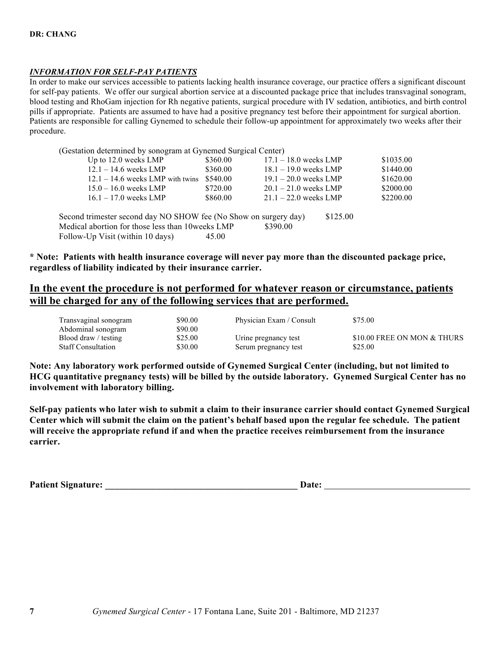## *INFORMATION FOR SELF-PAY PATIENTS*

In order to make our services accessible to patients lacking health insurance coverage, our practice offers a significant discount for self-pay patients. We offer our surgical abortion service at a discounted package price that includes transvaginal sonogram, blood testing and RhoGam injection for Rh negative patients, surgical procedure with IV sedation, antibiotics, and birth control pills if appropriate. Patients are assumed to have had a positive pregnancy test before their appointment for surgical abortion. Patients are responsible for calling Gynemed to schedule their follow-up appointment for approximately two weeks after their procedure.

(Gestation determined by sonogram at Gynemed Surgical Center)

| Up to $12.0$ weeks LMP                                           | \$360.00 | $17.1 - 18.0$ weeks LMP |          | \$1035.00 |
|------------------------------------------------------------------|----------|-------------------------|----------|-----------|
| $12.1 - 14.6$ weeks LMP                                          | \$360.00 | $18.1 - 19.0$ weeks LMP |          | \$1440.00 |
| $12.1 - 14.6$ weeks LMP with twins                               | \$540.00 | $19.1 - 20.0$ weeks LMP |          | \$1620.00 |
| $15.0 - 16.0$ weeks LMP                                          | \$720.00 | $20.1 - 21.0$ weeks LMP |          | \$2000.00 |
| $16.1 - 17.0$ weeks LMP                                          | \$860.00 | $21.1 - 22.0$ weeks LMP |          | \$2200.00 |
| Second trimester second day NO SHOW fee (No Show on surgery day) |          |                         | \$125.00 |           |
| Medical abortion for those less than 10 weeks LMP                |          | \$390.00                |          |           |
| Follow-Up Visit (within 10 days)                                 | 45.00    |                         |          |           |
|                                                                  |          |                         |          |           |

**\* Note: Patients with health insurance coverage will never pay more than the discounted package price, regardless of liability indicated by their insurance carrier.**

# **In the event the procedure is not performed for whatever reason or circumstance, patients will be charged for any of the following services that are performed.**

| Transvaginal sonogram     | \$90.00 | Physician Exam / Consult | \$75.00                     |
|---------------------------|---------|--------------------------|-----------------------------|
| Abdominal sonogram        | \$90.00 |                          |                             |
| Blood draw / testing      | \$25.00 | Urine pregnancy test     | \$10.00 FREE ON MON & THURS |
| <b>Staff Consultation</b> | \$30.00 | Serum pregnancy test     | \$25.00                     |

**Note: Any laboratory work performed outside of Gynemed Surgical Center (including, but not limited to HCG quantitative pregnancy tests) will be billed by the outside laboratory. Gynemed Surgical Center has no involvement with laboratory billing.** 

**Self-pay patients who later wish to submit a claim to their insurance carrier should contact Gynemed Surgical Center which will submit the claim on the patient's behalf based upon the regular fee schedule. The patient will receive the appropriate refund if and when the practice receives reimbursement from the insurance carrier.**

**Patient Signature:**  $\qquad \qquad$  Date: <u>Date:</u>  $\qquad \qquad$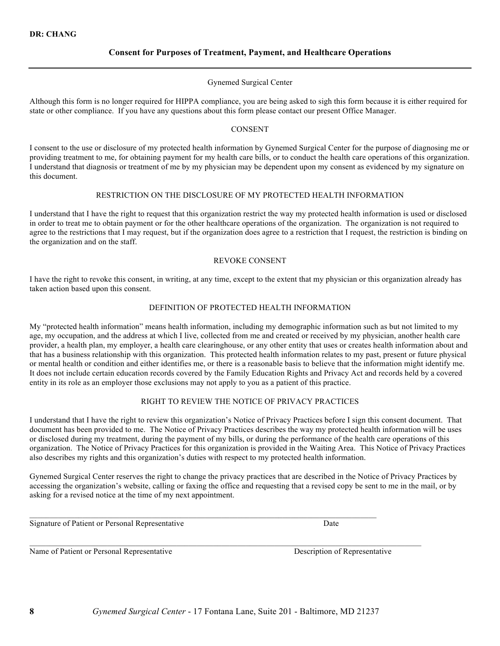## **Consent for Purposes of Treatment, Payment, and Healthcare Operations**

#### Gynemed Surgical Center

Although this form is no longer required for HIPPA compliance, you are being asked to sigh this form because it is either required for state or other compliance. If you have any questions about this form please contact our present Office Manager.

#### CONSENT

I consent to the use or disclosure of my protected health information by Gynemed Surgical Center for the purpose of diagnosing me or providing treatment to me, for obtaining payment for my health care bills, or to conduct the health care operations of this organization. I understand that diagnosis or treatment of me by my physician may be dependent upon my consent as evidenced by my signature on this document.

#### RESTRICTION ON THE DISCLOSURE OF MY PROTECTED HEALTH INFORMATION

I understand that I have the right to request that this organization restrict the way my protected health information is used or disclosed in order to treat me to obtain payment or for the other healthcare operations of the organization. The organization is not required to agree to the restrictions that I may request, but if the organization does agree to a restriction that I request, the restriction is binding on the organization and on the staff.

#### REVOKE CONSENT

I have the right to revoke this consent, in writing, at any time, except to the extent that my physician or this organization already has taken action based upon this consent.

#### DEFINITION OF PROTECTED HEALTH INFORMATION

My "protected health information" means health information, including my demographic information such as but not limited to my age, my occupation, and the address at which I live, collected from me and created or received by my physician, another health care provider, a health plan, my employer, a health care clearinghouse, or any other entity that uses or creates health information about and that has a business relationship with this organization. This protected health information relates to my past, present or future physical or mental health or condition and either identifies me, or there is a reasonable basis to believe that the information might identify me. It does not include certain education records covered by the Family Education Rights and Privacy Act and records held by a covered entity in its role as an employer those exclusions may not apply to you as a patient of this practice.

#### RIGHT TO REVIEW THE NOTICE OF PRIVACY PRACTICES

I understand that I have the right to review this organization's Notice of Privacy Practices before I sign this consent document. That document has been provided to me. The Notice of Privacy Practices describes the way my protected health information will be uses or disclosed during my treatment, during the payment of my bills, or during the performance of the health care operations of this organization. The Notice of Privacy Practices for this organization is provided in the Waiting Area. This Notice of Privacy Practices also describes my rights and this organization's duties with respect to my protected health information.

Gynemed Surgical Center reserves the right to change the privacy practices that are described in the Notice of Privacy Practices by accessing the organization's website, calling or faxing the office and requesting that a revised copy be sent to me in the mail, or by asking for a revised notice at the time of my next appointment.

 $\_$  , and the state of the state of the state of the state of the state of the state of the state of the state of the state of the state of the state of the state of the state of the state of the state of the state of the

Signature of Patient or Personal Representative Date

Name of Patient or Personal Representative Description of Representative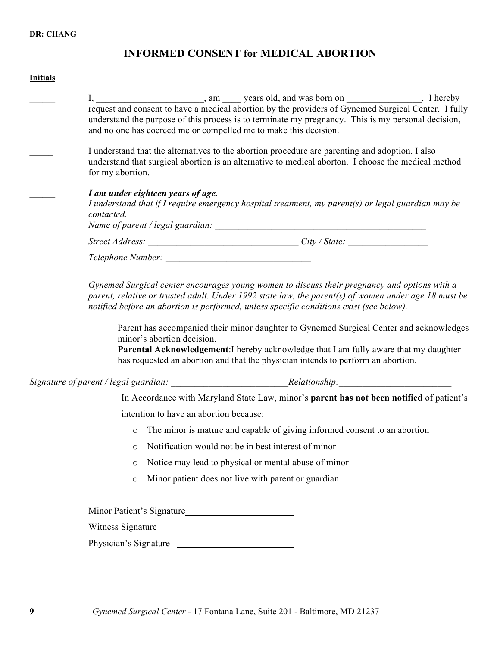# **INFORMED CONSENT for MEDICAL ABORTION**

# **Initials**

| I, ________________, am ______ years old, and was born on _______________. I hereby request and consent to have a medical abortion by the providers of Gynemed Surgical Center. I fully<br>understand the purpose of this process is to terminate my pregnancy. This is my personal decision,<br>and no one has coerced me or compelled me to make this decision.                                                                                                                                                                                                                                     |
|-------------------------------------------------------------------------------------------------------------------------------------------------------------------------------------------------------------------------------------------------------------------------------------------------------------------------------------------------------------------------------------------------------------------------------------------------------------------------------------------------------------------------------------------------------------------------------------------------------|
| I understand that the alternatives to the abortion procedure are parenting and adoption. I also<br>understand that surgical abortion is an alternative to medical aborton. I choose the medical method<br>for my abortion.                                                                                                                                                                                                                                                                                                                                                                            |
| I am under eighteen years of age.<br>I understand that if I require emergency hospital treatment, my parent(s) or legal guardian may be<br>contacted.                                                                                                                                                                                                                                                                                                                                                                                                                                                 |
|                                                                                                                                                                                                                                                                                                                                                                                                                                                                                                                                                                                                       |
|                                                                                                                                                                                                                                                                                                                                                                                                                                                                                                                                                                                                       |
| Gynemed Surgical center encourages young women to discuss their pregnancy and options with a<br>parent, relative or trusted adult. Under 1992 state law, the parent(s) of women under age 18 must be<br>notified before an abortion is performed, unless specific conditions exist (see below).<br>Parent has accompanied their minor daughter to Gynemed Surgical Center and acknowledges<br>minor's abortion decision.<br>Parental Acknowledgement: I hereby acknowledge that I am fully aware that my daughter<br>has requested an abortion and that the physician intends to perform an abortion. |
|                                                                                                                                                                                                                                                                                                                                                                                                                                                                                                                                                                                                       |
| In Accordance with Maryland State Law, minor's parent has not been notified of patient's                                                                                                                                                                                                                                                                                                                                                                                                                                                                                                              |
| intention to have an abortion because:                                                                                                                                                                                                                                                                                                                                                                                                                                                                                                                                                                |
| The minor is mature and capable of giving informed consent to an abortion<br>$\circ$                                                                                                                                                                                                                                                                                                                                                                                                                                                                                                                  |
| Notification would not be in best interest of minor<br>$\circ$                                                                                                                                                                                                                                                                                                                                                                                                                                                                                                                                        |
| Notice may lead to physical or mental abuse of minor<br>$\circ$                                                                                                                                                                                                                                                                                                                                                                                                                                                                                                                                       |
| Minor patient does not live with parent or guardian<br>$\circ$                                                                                                                                                                                                                                                                                                                                                                                                                                                                                                                                        |
| Minor Patient's Signature                                                                                                                                                                                                                                                                                                                                                                                                                                                                                                                                                                             |
|                                                                                                                                                                                                                                                                                                                                                                                                                                                                                                                                                                                                       |
| Physician's Signature                                                                                                                                                                                                                                                                                                                                                                                                                                                                                                                                                                                 |
|                                                                                                                                                                                                                                                                                                                                                                                                                                                                                                                                                                                                       |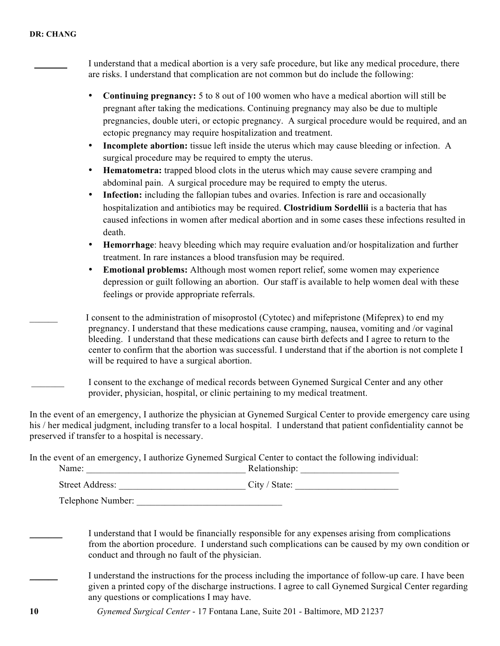|           | I understand that a medical abortion is a very safe procedure, but like any medical procedure, there<br>are risks. I understand that complication are not common but do include the following:                                                                                                                                                                                                                                                                      |
|-----------|---------------------------------------------------------------------------------------------------------------------------------------------------------------------------------------------------------------------------------------------------------------------------------------------------------------------------------------------------------------------------------------------------------------------------------------------------------------------|
| ٠         | Continuing pregnancy: 5 to 8 out of 100 women who have a medical abortion will still be<br>pregnant after taking the medications. Continuing pregnancy may also be due to multiple<br>pregnancies, double uteri, or ectopic pregnancy. A surgical procedure would be required, and an<br>ectopic pregnancy may require hospitalization and treatment.                                                                                                               |
|           | Incomplete abortion: tissue left inside the uterus which may cause bleeding or infection. A<br>surgical procedure may be required to empty the uterus.                                                                                                                                                                                                                                                                                                              |
| $\bullet$ | Hematometra: trapped blood clots in the uterus which may cause severe cramping and<br>abdominal pain. A surgical procedure may be required to empty the uterus.                                                                                                                                                                                                                                                                                                     |
| $\bullet$ | Infection: including the fallopian tubes and ovaries. Infection is rare and occasionally<br>hospitalization and antibiotics may be required. Clostridium Sordellii is a bacteria that has<br>caused infections in women after medical abortion and in some cases these infections resulted in<br>death.                                                                                                                                                             |
| $\bullet$ | Hemorrhage: heavy bleeding which may require evaluation and/or hospitalization and further<br>treatment. In rare instances a blood transfusion may be required.                                                                                                                                                                                                                                                                                                     |
| $\bullet$ | Emotional problems: Although most women report relief, some women may experience<br>depression or guilt following an abortion. Our staff is available to help women deal with these<br>feelings or provide appropriate referrals.                                                                                                                                                                                                                                   |
|           | I consent to the administration of misoprostol (Cytotec) and mifepristone (Mifeprex) to end my<br>pregnancy. I understand that these medications cause cramping, nausea, vomiting and /or vaginal<br>bleeding. I understand that these medications can cause birth defects and I agree to return to the<br>center to confirm that the abortion was successful. I understand that if the abortion is not complete I<br>will be required to have a surgical abortion. |
|           | I consent to the exchange of medical records between Gynemed Surgical Center and any other<br>provider, physician, hospital, or clinic pertaining to my medical treatment.                                                                                                                                                                                                                                                                                          |
|           | In the event of an emergency, I authorize the physician at Gynemed Surgical Center to provide emergency care using<br>his / her medical judgment, including transfer to a local hospital. I understand that patient confidentiality cannot be<br>preserved if transfer to a hospital is necessary.                                                                                                                                                                  |

In the event of an emergency, I authorize Gynemed Surgical Center to contact the following individual:

| 1000000000 | $\cdot$ $\cdot$                                                                                                 |
|------------|-----------------------------------------------------------------------------------------------------------------|
| me         | latıonshıp:                                                                                                     |
|            | the contract of the contract of the contract of the contract of the contract of the contract of the contract of |

| <b>Street Address:</b> | $\mathrm{C}$ ity /<br>State: |  |
|------------------------|------------------------------|--|
|                        |                              |  |

Telephone Number:

I understand that I would be financially responsible for any expenses arising from complications from the abortion procedure. I understand such complications can be caused by my own condition or conduct and through no fault of the physician.

I understand the instructions for the process including the importance of follow-up care. I have been given a printed copy of the discharge instructions. I agree to call Gynemed Surgical Center regarding any questions or complications I may have.

**10** *Gynemed Surgical Center* - 17 Fontana Lane, Suite 201 - Baltimore, MD 21237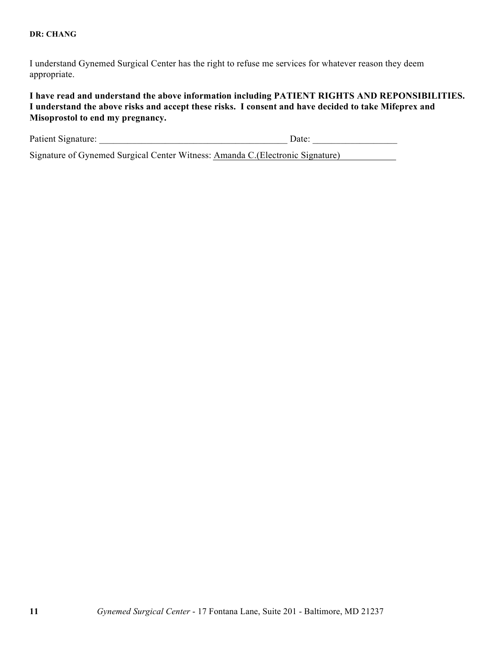I understand Gynemed Surgical Center has the right to refuse me services for whatever reason they deem appropriate.

**I have read and understand the above information including PATIENT RIGHTS AND REPONSIBILITIES. I understand the above risks and accept these risks. I consent and have decided to take Mifeprex and Misoprostol to end my pregnancy.**

| Patient Signature: | Jate: |  |
|--------------------|-------|--|
|                    |       |  |

Signature of Gynemed Surgical Center Witness: Amanda C.(Electronic Signature)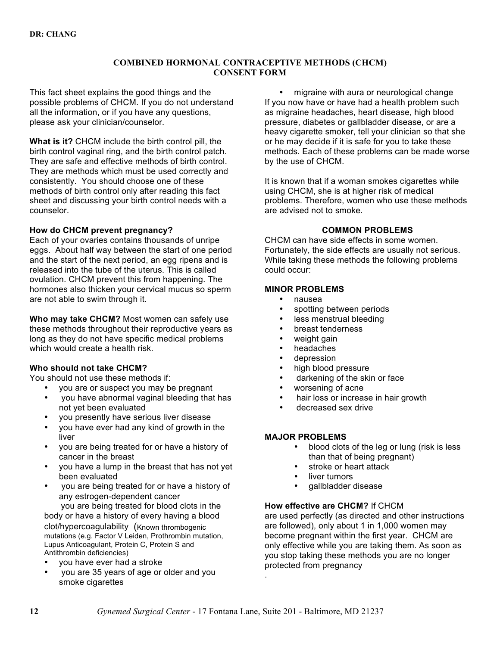## **COMBINED HORMONAL CONTRACEPTIVE METHODS (CHCM) CONSENT FORM**

This fact sheet explains the good things and the possible problems of CHCM. If you do not understand all the information, or if you have any questions, please ask your clinician/counselor.

**What is it?** CHCM include the birth control pill, the birth control vaginal ring, and the birth control patch. They are safe and effective methods of birth control. They are methods which must be used correctly and consistently. You should choose one of these methods of birth control only after reading this fact sheet and discussing your birth control needs with a counselor.

## **How do CHCM prevent pregnancy?**

Each of your ovaries contains thousands of unripe eggs. About half way between the start of one period and the start of the next period, an egg ripens and is released into the tube of the uterus. This is called ovulation. CHCM prevent this from happening. The hormones also thicken your cervical mucus so sperm are not able to swim through it.

**Who may take CHCM?** Most women can safely use these methods throughout their reproductive years as long as they do not have specific medical problems which would create a health risk.

## **Who should not take CHCM?**

You should not use these methods if:

- you are or suspect you may be pregnant
- you have abnormal vaginal bleeding that has not yet been evaluated
- you presently have serious liver disease
- you have ever had any kind of growth in the liver
- you are being treated for or have a history of cancer in the breast
- you have a lump in the breast that has not yet been evaluated
- you are being treated for or have a history of any estrogen-dependent cancer you are being treated for blood clots in the

body or have a history of every having a blood clot/hypercoagulability (Known thrombogenic mutations (e.g. Factor V Leiden, Prothrombin mutation, Lupus Anticoagulant, Protein C, Protein S and Antithrombin deficiencies)

- you have ever had a stroke
- you are 35 years of age or older and you smoke cigarettes

• migraine with aura or neurological change If you now have or have had a health problem such as migraine headaches, heart disease, high blood pressure, diabetes or gallbladder disease, or are a heavy cigarette smoker, tell your clinician so that she or he may decide if it is safe for you to take these methods. Each of these problems can be made worse by the use of CHCM.

It is known that if a woman smokes cigarettes while using CHCM, she is at higher risk of medical problems. Therefore, women who use these methods are advised not to smoke.

# **COMMON PROBLEMS**

CHCM can have side effects in some women. Fortunately, the side effects are usually not serious. While taking these methods the following problems could occur:

# **MINOR PROBLEMS**

- nausea
- spotting between periods<br>• less menstrual bleeding
- less menstrual bleeding
- breast tenderness
- weight gain
- headaches
- depression
- high blood pressure
- darkening of the skin or face
- worsening of acne
- hair loss or increase in hair growth
- decreased sex drive

## **MAJOR PROBLEMS**

- blood clots of the leg or lung (risk is less than that of being pregnant)
- stroke or heart attack
- liver tumors
- gallbladder disease

## **How effective are CHCM?** If CHCM

are used perfectly (as directed and other instructions are followed), only about 1 in 1,000 women may become pregnant within the first year. CHCM are only effective while you are taking them. As soon as you stop taking these methods you are no longer protected from pregnancy

.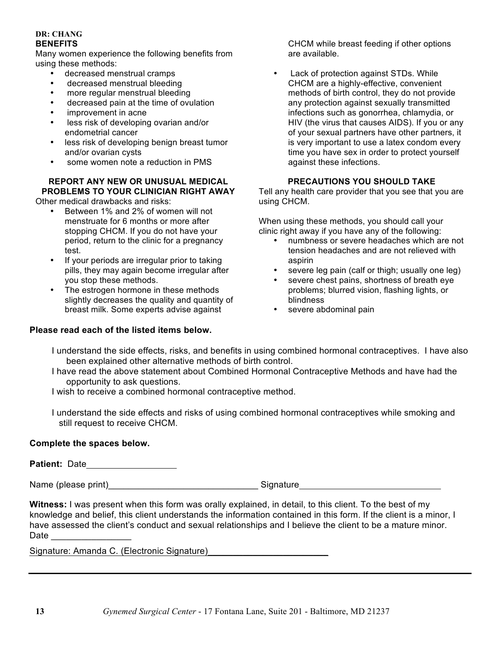## **DR: CHANG BENEFITS**

Many women experience the following benefits from using these methods:

- decreased menstrual cramps
- decreased menstrual bleeding
- more regular menstrual bleeding
- decreased pain at the time of ovulation
- improvement in acne
- less risk of developing ovarian and/or endometrial cancer
- less risk of developing benign breast tumor and/or ovarian cysts
- some women note a reduction in PMS

# **REPORT ANY NEW OR UNUSUAL MEDICAL PROBLEMS TO YOUR CLINICIAN RIGHT AWAY**

Other medical drawbacks and risks:

- Between 1% and 2% of women will not menstruate for 6 months or more after stopping CHCM. If you do not have your period, return to the clinic for a pregnancy test.
- If your periods are irregular prior to taking pills, they may again become irregular after you stop these methods.
- The estrogen hormone in these methods slightly decreases the quality and quantity of breast milk. Some experts advise against

# **Please read each of the listed items below.**

CHCM while breast feeding if other options are available.

Lack of protection against STDs. While CHCM are a highly-effective, convenient methods of birth control, they do not provide any protection against sexually transmitted infections such as gonorrhea, chlamydia, or HIV (the virus that causes AIDS). If you or any of your sexual partners have other partners, it is very important to use a latex condom every time you have sex in order to protect yourself against these infections.

# **PRECAUTIONS YOU SHOULD TAKE**

Tell any health care provider that you see that you are using CHCM.

When using these methods, you should call your clinic right away if you have any of the following:

- numbness or severe headaches which are not tension headaches and are not relieved with aspirin
- severe leg pain (calf or thigh; usually one leg)
- severe chest pains, shortness of breath eve problems; blurred vision, flashing lights, or blindness
- severe abdominal pain
- I understand the side effects, risks, and benefits in using combined hormonal contraceptives. I have also been explained other alternative methods of birth control.
- I have read the above statement about Combined Hormonal Contraceptive Methods and have had the opportunity to ask questions.

I wish to receive a combined hormonal contraceptive method.

 I understand the side effects and risks of using combined hormonal contraceptives while smoking and still request to receive CHCM.

# **Complete the spaces below.**

**Patient:** Date

Name (please print) example and signature signature signature

**Witness:** I was present when this form was orally explained, in detail, to this client. To the best of my knowledge and belief, this client understands the information contained in this form. If the client is a minor, I have assessed the client's conduct and sexual relationships and I believe the client to be a mature minor. Date  $\Box$ 

Signature: Amanda C. (Electronic Signature)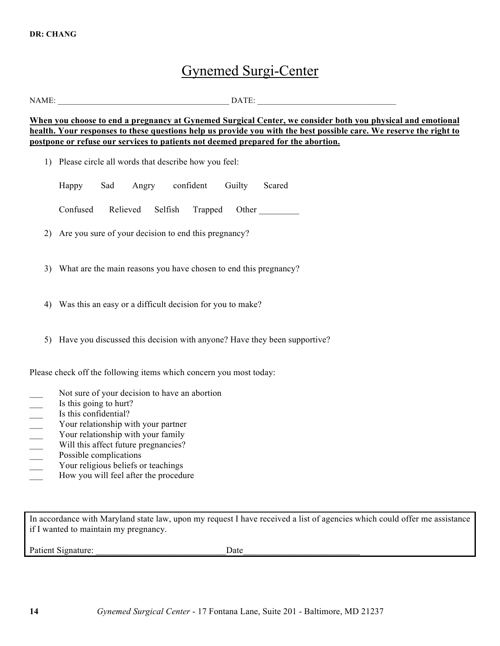# Gynemed Surgi-Center

NAME: \_\_\_\_\_\_\_\_\_\_\_\_\_\_\_\_\_\_\_\_\_\_\_\_\_\_\_\_\_\_\_\_\_\_\_\_\_\_\_\_\_\_ DATE: \_\_\_\_\_\_\_\_\_\_\_\_\_\_\_\_\_\_\_\_\_\_\_\_\_\_\_\_\_\_\_\_\_\_

**When you choose to end a pregnancy at Gynemed Surgical Center, we consider both you physical and emotional health. Your responses to these questions help us provide you with the best possible care. We reserve the right to postpone or refuse our services to patients not deemed prepared for the abortion.**

1) Please circle all words that describe how you feel:

Happy Sad Angry confident Guilty Scared

Confused Relieved Selfish Trapped Other \_\_\_\_\_\_\_\_\_

- 2) Are you sure of your decision to end this pregnancy?
- 3) What are the main reasons you have chosen to end this pregnancy?
- 4) Was this an easy or a difficult decision for you to make?
- 5) Have you discussed this decision with anyone? Have they been supportive?

Please check off the following items which concern you most today:

- Not sure of your decision to have an abortion
- 
- Is this confidential?
- \_\_\_ Is this going to hurt? Your relationship with your partner
- Your relationship with your family
- Will this affect future pregnancies?
- Possible complications
- Your religious beliefs or teachings
- How you will feel after the procedure

In accordance with Maryland state law, upon my request I have received a list of agencies which could offer me assistance if I wanted to maintain my pregnancy.

Patient Signature: <u>Date</u>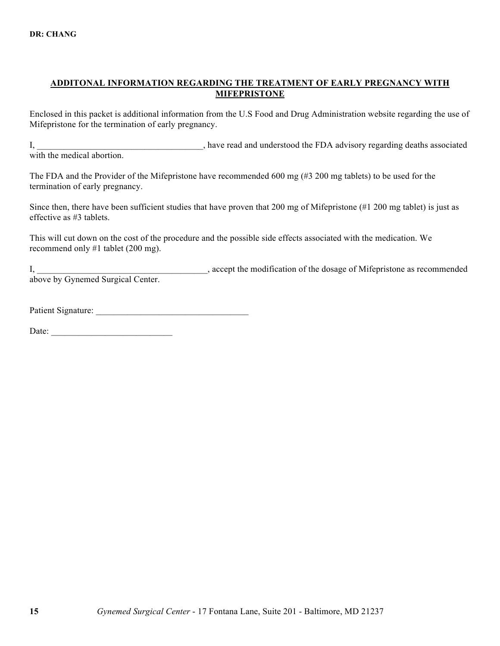## **ADDITONAL INFORMATION REGARDING THE TREATMENT OF EARLY PREGNANCY WITH MIFEPRISTONE**

Enclosed in this packet is additional information from the U.S Food and Drug Administration website regarding the use of Mifepristone for the termination of early pregnancy.

I, have read and understood the FDA advisory regarding deaths associated with the medical abortion

The FDA and the Provider of the Mifepristone have recommended 600 mg (#3 200 mg tablets) to be used for the termination of early pregnancy.

Since then, there have been sufficient studies that have proven that 200 mg of Mifepristone (#1 200 mg tablet) is just as effective as #3 tablets.

This will cut down on the cost of the procedure and the possible side effects associated with the medication. We recommend only #1 tablet (200 mg).

I, accept the modification of the dosage of Mifepristone as recommended above by Gynemed Surgical Center.

Patient Signature:

Date: \_\_\_\_\_\_\_\_\_\_\_\_\_\_\_\_\_\_\_\_\_\_\_\_\_\_\_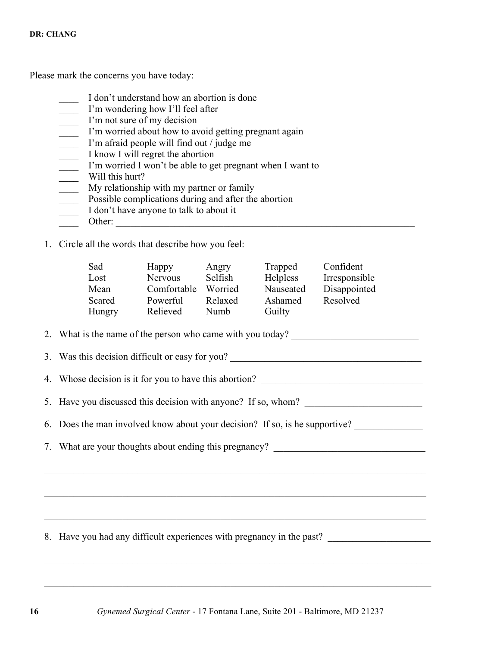Please mark the concerns you have today:

- \_\_\_\_ I don't understand how an abortion is done
- \_\_\_\_ I'm wondering how I'll feel after
- \_\_\_\_ I'm not sure of my decision
- \_\_\_\_ I'm worried about how to avoid getting pregnant again
- I'm afraid people will find out / judge me
- \_\_\_\_ I know I will regret the abortion
- \_\_\_\_ I'm worried I won't be able to get pregnant when I want to
- Will this hurt?
- \_\_\_\_ My relationship with my partner or family
- **EXECUTE:** Possible complications during and after the abortion
- I don't have anyone to talk to about it
- \_\_\_\_ Other: \_\_\_\_\_\_\_\_\_\_\_\_\_\_\_\_\_\_\_\_\_\_\_\_\_\_\_\_\_\_\_\_\_\_\_\_\_\_\_\_\_\_\_\_\_\_\_\_\_\_\_\_\_\_\_\_\_\_\_\_\_
- 1. Circle all the words that describe how you feel:

| Sad<br>Lost<br>Mean<br>Scared<br>Hungry                                          |  | Happy<br>Nervous<br>Comfortable Worried<br>Powerful<br>Relieved | Angry<br>Selfish<br>Relaxed<br>Numb | Trapped<br>Helpless<br>Nauseated<br>Ashamed<br>Guilty | Confident<br>Irresponsible<br>Disappointed<br>Resolved                |
|----------------------------------------------------------------------------------|--|-----------------------------------------------------------------|-------------------------------------|-------------------------------------------------------|-----------------------------------------------------------------------|
|                                                                                  |  |                                                                 |                                     |                                                       | 2. What is the name of the person who came with you today?            |
|                                                                                  |  |                                                                 |                                     |                                                       | 3. Was this decision difficult or easy for you?                       |
| 4. Whose decision is it for you to have this abortion?                           |  |                                                                 |                                     |                                                       |                                                                       |
| 5. Have you discussed this decision with anyone? If so, whom?                    |  |                                                                 |                                     |                                                       |                                                                       |
| 6. Does the man involved know about your decision? If so, is he supportive?      |  |                                                                 |                                     |                                                       |                                                                       |
| 7. What are your thoughts about ending this pregnancy? _________________________ |  |                                                                 |                                     |                                                       |                                                                       |
|                                                                                  |  |                                                                 |                                     |                                                       |                                                                       |
|                                                                                  |  |                                                                 |                                     |                                                       |                                                                       |
|                                                                                  |  |                                                                 |                                     |                                                       |                                                                       |
|                                                                                  |  |                                                                 |                                     |                                                       | 8. Have you had any difficult experiences with pregnancy in the past? |
|                                                                                  |  |                                                                 |                                     |                                                       |                                                                       |

 $\_$  , and the contribution of the contribution of the contribution of the contribution of  $\mathcal{L}_\text{max}$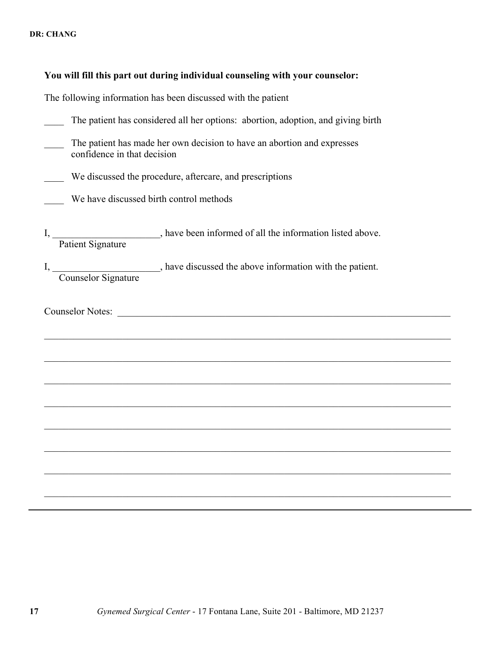|                             | You will fill this part out during individual counseling with your counselor:                                         |
|-----------------------------|-----------------------------------------------------------------------------------------------------------------------|
|                             | The following information has been discussed with the patient                                                         |
|                             | The patient has considered all her options: abortion, adoption, and giving birth                                      |
| confidence in that decision | The patient has made her own decision to have an abortion and expresses                                               |
|                             | We discussed the procedure, aftercare, and prescriptions                                                              |
|                             | We have discussed birth control methods                                                                               |
|                             | I, <i>Patient Signature</i> , have been informed of all the information listed above.                                 |
|                             | I, Counselor Signature entry have discussed the above information with the patient.                                   |
| <b>Counselor Notes:</b>     | <u> 1989 - Johann Barbara, martin amerikan basal dan berasal dan berasal dalam basal dalam basal dalam basal dala</u> |
|                             |                                                                                                                       |
|                             |                                                                                                                       |
|                             |                                                                                                                       |
|                             |                                                                                                                       |
|                             |                                                                                                                       |
|                             |                                                                                                                       |
|                             |                                                                                                                       |
|                             |                                                                                                                       |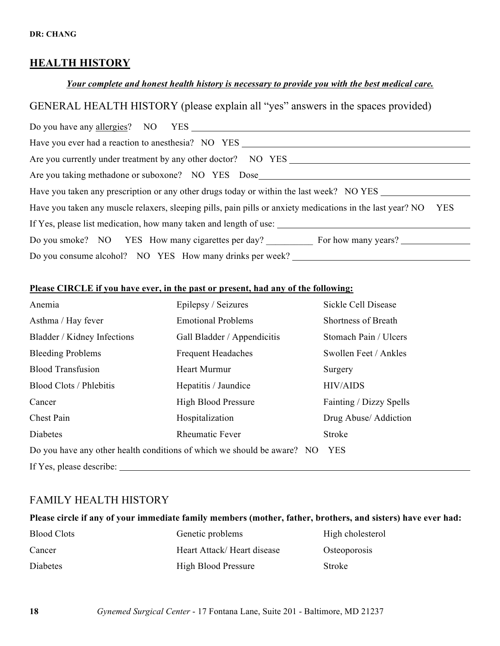# **HEALTH HISTORY**

# *Your complete and honest health history is necessary to provide you with the best medical care.*

# GENERAL HEALTH HISTORY (please explain all "yes" answers in the spaces provided)

| Have you ever had a reaction to anesthesia? NO YES                                                                       |  |  |  |
|--------------------------------------------------------------------------------------------------------------------------|--|--|--|
| Are you currently under treatment by any other doctor? NO YES                                                            |  |  |  |
| Are you taking methadone or suboxone? NO YES Dose                                                                        |  |  |  |
| Have you taken any prescription or any other drugs today or within the last week? NO YES                                 |  |  |  |
| Have you taken any muscle relaxers, sleeping pills, pain pills or anxiety medications in the last year? NO<br><b>YES</b> |  |  |  |
| If Yes, please list medication, how many taken and length of use:                                                        |  |  |  |
| Do you smoke? NO YES How many cigarettes per day? For how many years?                                                    |  |  |  |
| Do you consume alcohol? NO YES How many drinks per week?                                                                 |  |  |  |

# **Please CIRCLE if you have ever, in the past or present, had any of the following:**

| Anemia                                                                  | Epilepsy / Seizures         | Sickle Cell Disease        |
|-------------------------------------------------------------------------|-----------------------------|----------------------------|
| Asthma / Hay fever                                                      | <b>Emotional Problems</b>   | <b>Shortness of Breath</b> |
| Bladder / Kidney Infections                                             | Gall Bladder / Appendicitis | Stomach Pain / Ulcers      |
| <b>Bleeding Problems</b>                                                | <b>Frequent Headaches</b>   | Swollen Feet / Ankles      |
| <b>Blood Transfusion</b>                                                | <b>Heart Murmur</b>         | Surgery                    |
| Blood Clots / Phlebitis                                                 | Hepatitis / Jaundice        | <b>HIV/AIDS</b>            |
| Cancer                                                                  | <b>High Blood Pressure</b>  | Fainting / Dizzy Spells    |
| Chest Pain                                                              | Hospitalization             | Drug Abuse/ Addiction      |
| Diabetes                                                                | <b>Rheumatic Fever</b>      | Stroke                     |
| Do you have any other health conditions of which we should be aware? NO | <b>YES</b>                  |                            |
| If Yes, please describe:                                                |                             |                            |

# FAMILY HEALTH HISTORY

# **Please circle if any of your immediate family members (mother, father, brothers, and sisters) have ever had:**

| <b>Blood Clots</b> | Genetic problems           | High cholesterol |
|--------------------|----------------------------|------------------|
| Cancer             | Heart Attack/Heart disease | Osteoporosis     |
| Diabetes           | <b>High Blood Pressure</b> | Stroke           |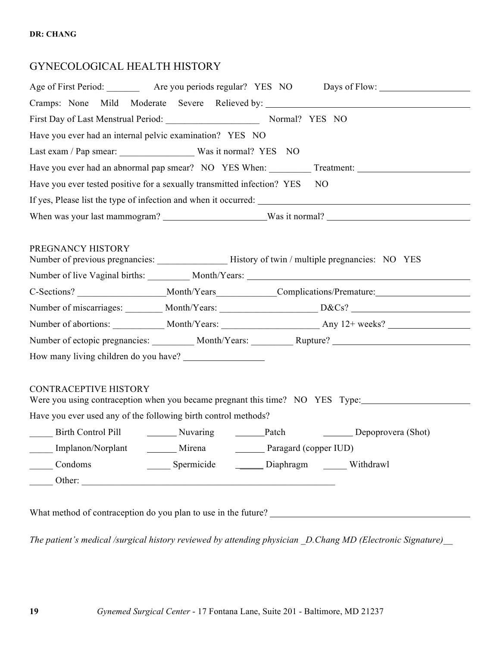# GYNECOLOGICAL HEALTH HISTORY

|                                                                         |                                                                                |  | Age of First Period: _____________ Are you periods regular? YES NO Days of Flow: ___________________           |  |  |  |
|-------------------------------------------------------------------------|--------------------------------------------------------------------------------|--|----------------------------------------------------------------------------------------------------------------|--|--|--|
|                                                                         |                                                                                |  | Cramps: None Mild Moderate Severe Relieved by:                                                                 |  |  |  |
|                                                                         | First Day of Last Menstrual Period: Normal? YES NO                             |  |                                                                                                                |  |  |  |
| Have you ever had an internal pelvic examination? YES NO                |                                                                                |  |                                                                                                                |  |  |  |
|                                                                         |                                                                                |  |                                                                                                                |  |  |  |
|                                                                         | Have you ever had an abnormal pap smear? NO YES When:<br>Treatment: Treatment: |  |                                                                                                                |  |  |  |
| Have you ever tested positive for a sexually transmitted infection? YES |                                                                                |  | NO.                                                                                                            |  |  |  |
|                                                                         |                                                                                |  | If yes, Please list the type of infection and when it occurred:                                                |  |  |  |
|                                                                         |                                                                                |  |                                                                                                                |  |  |  |
|                                                                         |                                                                                |  |                                                                                                                |  |  |  |
| PREGNANCY HISTORY                                                       |                                                                                |  |                                                                                                                |  |  |  |
|                                                                         |                                                                                |  |                                                                                                                |  |  |  |
|                                                                         |                                                                                |  | C-Sections? ______________________Month/Years____________Complications/Premature:__________________            |  |  |  |
|                                                                         |                                                                                |  | Number of miscarriages: ________ Month/Years: ________________________D&Cs? __________________________________ |  |  |  |
|                                                                         |                                                                                |  |                                                                                                                |  |  |  |
|                                                                         |                                                                                |  | Number of ectopic pregnancies: __________ Month/Years: __________ Rupture? _________________________           |  |  |  |
|                                                                         |                                                                                |  |                                                                                                                |  |  |  |
| <b>CONTRACEPTIVE HISTORY</b>                                            |                                                                                |  |                                                                                                                |  |  |  |
|                                                                         |                                                                                |  | Were you using contraception when you became pregnant this time? NO YES Type:                                  |  |  |  |
| Have you ever used any of the following birth control methods?          |                                                                                |  |                                                                                                                |  |  |  |
|                                                                         |                                                                                |  |                                                                                                                |  |  |  |
|                                                                         |                                                                                |  | Implanon/Norplant Mirena Paragard (copper IUD)                                                                 |  |  |  |
| Condoms                                                                 |                                                                                |  |                                                                                                                |  |  |  |
|                                                                         |                                                                                |  |                                                                                                                |  |  |  |
|                                                                         |                                                                                |  |                                                                                                                |  |  |  |
|                                                                         |                                                                                |  | What method of contraception do you plan to use in the future?                                                 |  |  |  |

*The patient's medical /surgical history reviewed by attending physician \_D.Chang MD (Electronic Signature)\_\_*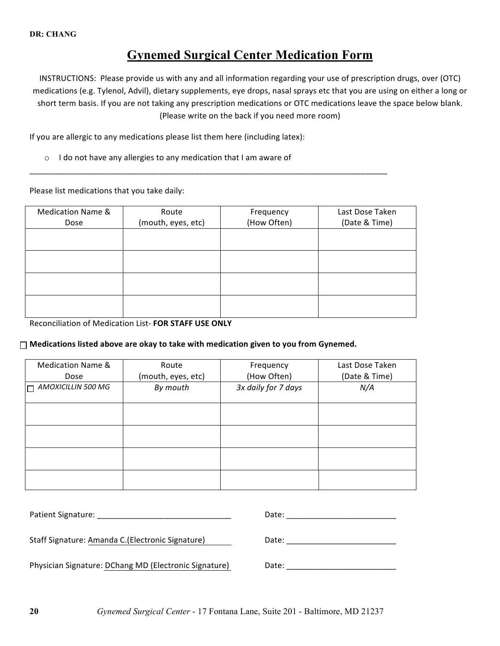# **Gynemed Surgical Center Medication Form**

INSTRUCTIONS: Please provide us with any and all information regarding your use of prescription drugs, over (OTC) medications (e.g. Tylenol, Advil), dietary supplements, eye drops, nasal sprays etc that you are using on either a long or short term basis. If you are not taking any prescription medications or OTC medications leave the space below blank. (Please write on the back if you need more room)

If you are allergic to any medications please list them here (including latex):

 $\circ$  I do not have any allergies to any medication that I am aware of

Please list medications that you take daily:

| Medication Name & | Route              | Frequency   | Last Dose Taken |
|-------------------|--------------------|-------------|-----------------|
| Dose              | (mouth, eyes, etc) | (How Often) | (Date & Time)   |
|                   |                    |             |                 |
|                   |                    |             |                 |
|                   |                    |             |                 |
|                   |                    |             |                 |
|                   |                    |             |                 |
|                   |                    |             |                 |
|                   |                    |             |                 |
|                   |                    |             |                 |

\_\_\_\_\_\_\_\_\_\_\_\_\_\_\_\_\_\_\_\_\_\_\_\_\_\_\_\_\_\_\_\_\_\_\_\_\_\_\_\_\_\_\_\_\_\_\_\_\_\_\_\_\_\_\_\_\_\_\_\_\_\_\_\_\_\_\_\_\_\_\_\_\_\_\_\_\_\_\_\_

Reconciliation of Medication List- FOR STAFF USE ONLY

#### $\Box$  Medications listed above are okay to take with medication given to you from Gynemed.

| <b>Medication Name &amp;</b><br>Route |                    | Frequency           | Last Dose Taken |
|---------------------------------------|--------------------|---------------------|-----------------|
| Dose                                  | (mouth, eyes, etc) | (How Often)         | (Date & Time)   |
| $\Box$ AMOXICILLIN 500 MG             | By mouth           | 3x daily for 7 days | N/A             |
|                                       |                    |                     |                 |
|                                       |                    |                     |                 |
|                                       |                    |                     |                 |
|                                       |                    |                     |                 |
|                                       |                    |                     |                 |
|                                       |                    |                     |                 |
|                                       |                    |                     |                 |
|                                       |                    |                     |                 |
|                                       |                    |                     |                 |

| Patient Signature:                                    | Date: |
|-------------------------------------------------------|-------|
|                                                       |       |
| Staff Signature: Amanda C.(Electronic Signature)      | Date: |
|                                                       |       |
| Physician Signature: DChang MD (Electronic Signature) | Date: |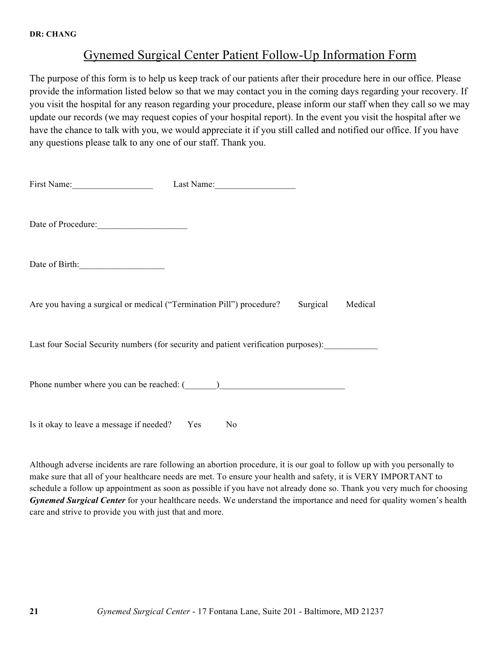# Gynemed Surgical Center Patient Follow-Up Information Form

The purpose of this form is to help us keep track of our patients after their procedure here in our office. Please provide the information listed below so that we may contact you in the coming days regarding your recovery. If you visit the hospital for any reason regarding your procedure, please inform our staff when they call so we may update our records (we may request copies of your hospital report). In the event you visit the hospital after we have the chance to talk with you, we would appreciate it if you still called and notified our office. If you have any questions please talk to any one of our staff. Thank you.

| First Name:                                                                           | Last Name:     |  |
|---------------------------------------------------------------------------------------|----------------|--|
| Date of Procedure:                                                                    |                |  |
| Date of Birth:                                                                        |                |  |
| Are you having a surgical or medical ("Termination Pill") procedure? Surgical Medical |                |  |
| Last four Social Security numbers (for security and patient verification purposes):   |                |  |
|                                                                                       |                |  |
| Is it okay to leave a message if needed? Yes                                          | N <sub>0</sub> |  |

Although adverse incidents are rare following an abortion procedure, it is our goal to follow up with you personally to make sure that all of your healthcare needs are met. To ensure your health and safety, it is VERY IMPORTANT to schedule a follow up appointment as soon as possible if you have not already done so. Thank you very much for choosing *Gynemed Surgical Center* for your healthcare needs. We understand the importance and need for quality women's health care and strive to provide you with just that and more.